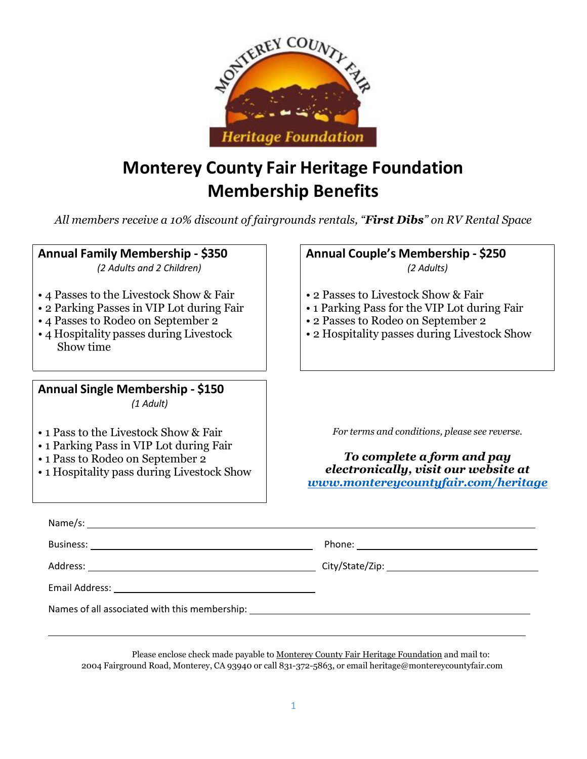

# **Monterey County Fair Heritage Foundation Membership Benefits**

*All members receive a 10% discount of fairgrounds rentals, "First Dibs" on RV Rental Space*

### **Annual Family Membership - \$350**

*(2 Adults and 2 Children)*

- 4 Passes to the Livestock Show & Fair
- 2 Parking Passes in VIP Lot during Fair
- 4 Passes to Rodeo on September 2
- 4 Hospitality passes during Livestock Show time

**Annual Single Membership - \$150** *(1 Adult)*

- 1 Pass to the Livestock Show & Fair
- 1 Parking Pass in VIP Lot during Fair
- 1 Pass to Rodeo on September 2
- 1 Hospitality pass during Livestock Show

**Annual Couple's Membership - \$250** *(2 Adults)*

- 2 Passes to Livestock Show & Fair
- 1 Parking Pass for the VIP Lot during Fair
- 2 Passes to Rodeo on September 2
- 2 Hospitality passes during Livestock Show

*For terms and conditions, please see reverse.*

*To complete a form and pay electronically, visit our website at [www.montereycountyfair.com/heritage](http://www.montereycountyfair.com/heritage)*

| Names of all associated with this membership: ___________________________________ |  |
|-----------------------------------------------------------------------------------|--|

Please enclose check made payable to Monterey County Fair Heritage Foundation and mail to: 2004 Fairground Road, Monterey, CA 93940 or call 831-372-5863, or email [heritage@montereycountyfair.com](mailto:heritage@montereycountyfair.com)